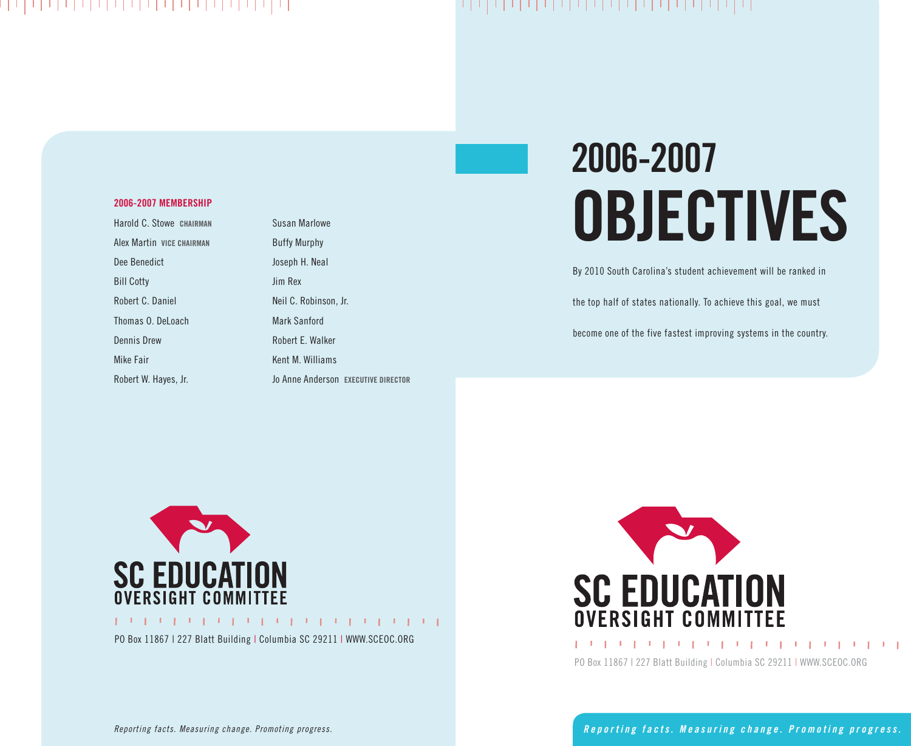### 나 나 나 나 나 나 나 나 나 나 나 나 나 나 나 나 나 나 나

## 나 나니 나 나니니 나니니 나니니 나 나니니 나니니니!

#### **2006-2007 MEMBERSHIP**

Harold C. Stowe **CHAIRMAN** Alex Martin **VICE CHAIRMAN** Dee Benedict Bill Cotty Robert C. Daniel Thomas O. DeLoach Dennis Drew Mike Fair Robert W. Hayes, Jr.

Susan Marlowe Buffy Murphy Joseph H. Neal Jim Rex Neil C. Robinson, Jr. Mark Sanford Robert E. Walker Kent M. Williams Jo Anne Anderson **EXECUTIVE DIRECTOR**

# **2006-2007 OBJECTIVES**

By 2010 South Carolina's student achievement will be ranked in

the top half of states nationally. To achieve this goal, we must

become one of the five fastest improving systems in the country.



PO Box 11867 | 227 Blatt Building | Columbia SC 29211 | WWW.SCEOC.ORG



PO Box 11867 | 227 Blatt Building | Columbia SC 29211 | WWW.SCEOC.ORG

*Reporting facts. Measuring change. Promoting progress.*

*R e p o r t i n g f a c t s . M e a s u r i n g c h a n g e . P r o m o t i n g p r o g r e s s .*